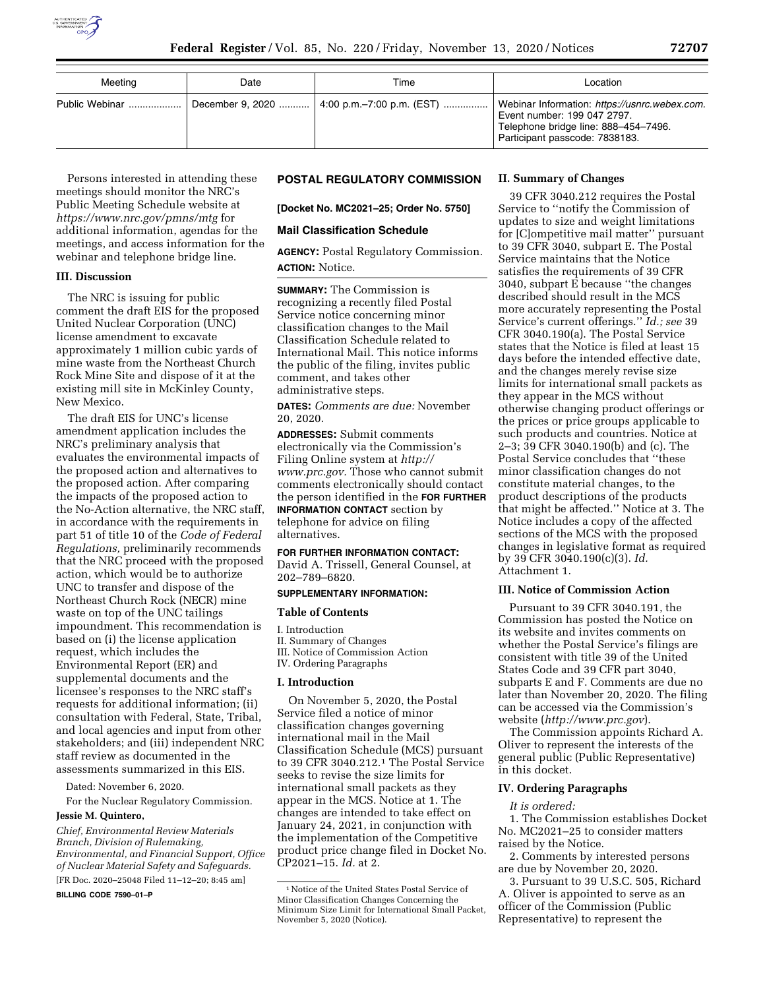

| Meeting | Date | Time                                         | Location                                                                                                                                               |
|---------|------|----------------------------------------------|--------------------------------------------------------------------------------------------------------------------------------------------------------|
|         |      | December 9, 2020  4:00 p.m. -7:00 p.m. (EST) | Webinar Information: https://usnrc.webex.com.<br>Event number: 199 047 2797.<br>Telephone bridge line: 888-454-7496.<br>Participant passcode: 7838183. |

Persons interested in attending these meetings should monitor the NRC's Public Meeting Schedule website at *<https://www.nrc.gov/pmns/mtg>* for additional information, agendas for the meetings, and access information for the webinar and telephone bridge line.

## **III. Discussion**

The NRC is issuing for public comment the draft EIS for the proposed United Nuclear Corporation (UNC) license amendment to excavate approximately 1 million cubic yards of mine waste from the Northeast Church Rock Mine Site and dispose of it at the existing mill site in McKinley County, New Mexico.

The draft EIS for UNC's license amendment application includes the NRC's preliminary analysis that evaluates the environmental impacts of the proposed action and alternatives to the proposed action. After comparing the impacts of the proposed action to the No-Action alternative, the NRC staff, in accordance with the requirements in part 51 of title 10 of the *Code of Federal Regulations,* preliminarily recommends that the NRC proceed with the proposed action, which would be to authorize UNC to transfer and dispose of the Northeast Church Rock (NECR) mine waste on top of the UNC tailings impoundment. This recommendation is based on (i) the license application request, which includes the Environmental Report (ER) and supplemental documents and the licensee's responses to the NRC staff's requests for additional information; (ii) consultation with Federal, State, Tribal, and local agencies and input from other stakeholders; and (iii) independent NRC staff review as documented in the assessments summarized in this EIS.

Dated: November 6, 2020.

For the Nuclear Regulatory Commission.

#### **Jessie M. Quintero,**

*Chief, Environmental Review Materials Branch, Division of Rulemaking, Environmental, and Financial Support, Office of Nuclear Material Safety and Safeguards.*  [FR Doc. 2020–25048 Filed 11–12–20; 8:45 am]

**BILLING CODE 7590–01–P** 

## **POSTAL REGULATORY COMMISSION**

**[Docket No. MC2021–25; Order No. 5750]** 

#### **Mail Classification Schedule**

**AGENCY:** Postal Regulatory Commission. **ACTION:** Notice.

**SUMMARY:** The Commission is recognizing a recently filed Postal Service notice concerning minor classification changes to the Mail Classification Schedule related to International Mail. This notice informs the public of the filing, invites public comment, and takes other administrative steps.

**DATES:** *Comments are due:* November 20, 2020.

**ADDRESSES:** Submit comments electronically via the Commission's Filing Online system at *[http://](http://www.prc.gov) [www.prc.gov.](http://www.prc.gov)* Those who cannot submit comments electronically should contact the person identified in the **FOR FURTHER INFORMATION CONTACT** section by telephone for advice on filing alternatives.

#### **FOR FURTHER INFORMATION CONTACT:**

David A. Trissell, General Counsel, at 202–789–6820.

#### **SUPPLEMENTARY INFORMATION:**

#### **Table of Contents**

I. Introduction II. Summary of Changes III. Notice of Commission Action IV. Ordering Paragraphs

### **I. Introduction**

On November 5, 2020, the Postal Service filed a notice of minor classification changes governing international mail in the Mail Classification Schedule (MCS) pursuant to 39 CFR 3040.212.1 The Postal Service seeks to revise the size limits for international small packets as they appear in the MCS. Notice at 1. The changes are intended to take effect on January 24, 2021, in conjunction with the implementation of the Competitive product price change filed in Docket No. CP2021–15. *Id.* at 2.

#### **II. Summary of Changes**

39 CFR 3040.212 requires the Postal Service to ''notify the Commission of updates to size and weight limitations for [C]ompetitive mail matter'' pursuant to 39 CFR 3040, subpart E. The Postal Service maintains that the Notice satisfies the requirements of 39 CFR 3040, subpart E because ''the changes described should result in the MCS more accurately representing the Postal Service's current offerings.'' *Id.; see* 39 CFR 3040.190(a). The Postal Service states that the Notice is filed at least 15 days before the intended effective date, and the changes merely revise size limits for international small packets as they appear in the MCS without otherwise changing product offerings or the prices or price groups applicable to such products and countries. Notice at 2–3; 39 CFR 3040.190(b) and (c). The Postal Service concludes that ''these minor classification changes do not constitute material changes, to the product descriptions of the products that might be affected.'' Notice at 3. The Notice includes a copy of the affected sections of the MCS with the proposed changes in legislative format as required by 39 CFR 3040.190(c)(3). *Id.*  Attachment 1.

### **III. Notice of Commission Action**

Pursuant to 39 CFR 3040.191, the Commission has posted the Notice on its website and invites comments on whether the Postal Service's filings are consistent with title 39 of the United States Code and 39 CFR part 3040, subparts E and F. Comments are due no later than November 20, 2020. The filing can be accessed via the Commission's website (*<http://www.prc.gov>*).

The Commission appoints Richard A. Oliver to represent the interests of the general public (Public Representative) in this docket.

#### **IV. Ordering Paragraphs**

#### *It is ordered:*

1. The Commission establishes Docket No. MC2021–25 to consider matters raised by the Notice.

2. Comments by interested persons are due by November 20, 2020.

3. Pursuant to 39 U.S.C. 505, Richard A. Oliver is appointed to serve as an officer of the Commission (Public Representative) to represent the

<sup>1</sup>Notice of the United States Postal Service of Minor Classification Changes Concerning the Minimum Size Limit for International Small Packet, November 5, 2020 (Notice).